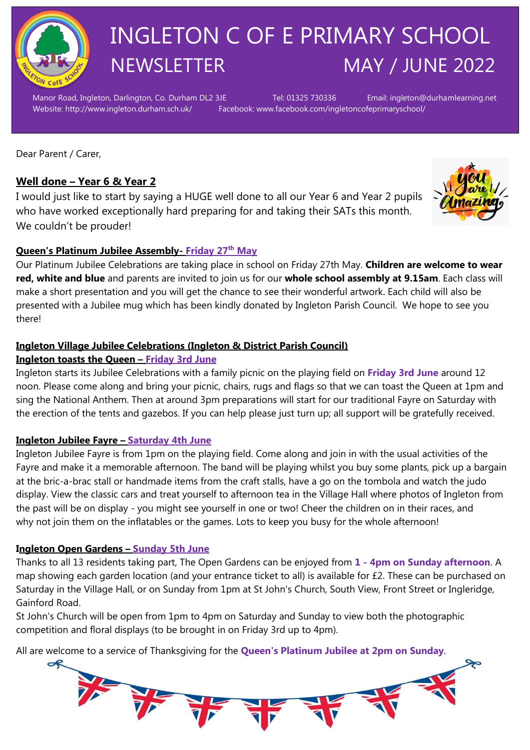

## INGLETON C OF E PRIMARY SCHOOL NEWSLETTER MAY / JUNE 2022

Manor Road, Ingleton, Darlington, Co. Durham DL2 3JE Tel: 01325 730336 Email: ingleton@durhamlearning.net Website: http://www.ingleton.durham.sch.uk/ Facebook: www.facebook.com/ingletoncofeprimaryschool/

Dear Parent / Carer,

#### **Well done – Year 6 & Year 2**

I would just like to start by saying a HUGE well done to all our Year 6 and Year 2 pupils who have worked exceptionally hard preparing for and taking their SATs this month. We couldn't be prouder!



#### **Queen's Platinum Jubilee Assembly- Friday 27th May**

Our Platinum Jubilee Celebrations are taking place in school on Friday 27th May. **Children are welcome to wear red, white and blue** and parents are invited to join us for our **whole school assembly at 9.15am**. Each class will make a short presentation and you will get the chance to see their wonderful artwork. Each child will also be presented with a Jubilee mug which has been kindly donated by Ingleton Parish Council. We hope to see you there!

#### **Ingleton Village Jubilee Celebrations (Ingleton & District Parish Council)**

#### **Ingleton toasts the Queen – Friday 3rd June**

Ingleton starts its Jubilee Celebrations with a family picnic on the playing field on **Friday 3rd June** around 12 noon. Please come along and bring your picnic, chairs, rugs and flags so that we can toast the Queen at 1pm and sing the National Anthem. Then at around 3pm preparations will start for our traditional Fayre on Saturday with the erection of the tents and gazebos. If you can help please just turn up; all support will be gratefully received.

#### **Ingleton Jubilee Fayre – Saturday 4th June**

Ingleton Jubilee Fayre is from 1pm on the playing field. Come along and join in with the usual activities of the Fayre and make it a memorable afternoon. The band will be playing whilst you buy some plants, pick up a bargain at the bric-a-brac stall or handmade items from the craft stalls, have a go on the tombola and watch the judo display. View the classic cars and treat yourself to afternoon tea in the Village Hall where photos of Ingleton from the past will be on display - you might see yourself in one or two! Cheer the children on in their races, and why not join them on the inflatables or the games. Lots to keep you busy for the whole afternoon!

#### **Ingleton Open Gardens – Sunday 5th June**

Thanks to all 13 residents taking part, The Open Gardens can be enjoyed from **1 - 4pm on Sunday afternoon**. A map showing each garden location (and your entrance ticket to all) is available for £2. These can be purchased on Saturday in the Village Hall, or on Sunday from 1pm at St John's Church, South View, Front Street or Ingleridge, Gainford Road.

St John's Church will be open from 1pm to 4pm on Saturday and Sunday to view both the photographic competition and floral displays (to be brought in on Friday 3rd up to 4pm).

All are welcome to a service of Thanksgiving for the **Queen's Platinum Jubilee at 2pm on Sunday**.

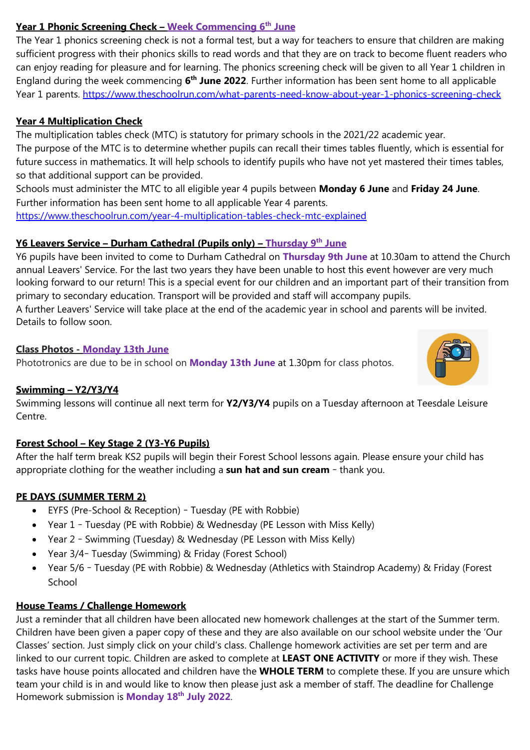#### **Year 1 Phonic Screening Check – Week Commencing 6th June**

The Year 1 phonics screening check is not a formal test, but a way for teachers to ensure that children are making sufficient progress with their phonics skills to read words and that they are on track to become fluent readers who can enjoy reading for pleasure and for learning. The phonics screening check will be given to all Year 1 children in England during the week commencing **6 th June 2022**. Further information has been sent home to all applicable Year 1 parents. <https://www.theschoolrun.com/what-parents-need-know-about-year-1-phonics-screening-check>

#### **Year 4 Multiplication Check**

The multiplication tables check (MTC) is statutory for primary schools in the 2021/22 academic year.

The purpose of the MTC is to determine whether pupils can recall their times tables fluently, which is essential for future success in mathematics. It will help schools to identify pupils who have not yet mastered their times tables, so that additional support can be provided.

Schools must administer the MTC to all eligible year 4 pupils between **Monday 6 June** and **Friday 24 June**. Further information has been sent home to all applicable Year 4 parents.

<https://www.theschoolrun.com/year-4-multiplication-tables-check-mtc-explained>

#### **Y6 Leavers Service – Durham Cathedral (Pupils only) – Thursday 9th June**

Y6 pupils have been invited to come to Durham Cathedral on **Thursday 9th June** at 10.30am to attend the Church annual Leavers' Service. For the last two years they have been unable to host this event however are very much looking forward to our return! This is a special event for our children and an important part of their transition from primary to secondary education. Transport will be provided and staff will accompany pupils.

A further Leavers' Service will take place at the end of the academic year in school and parents will be invited. Details to follow soon.

#### **Class Photos - Monday 13th June**

Phototronics are due to be in school on **Monday 13th June** at 1.30pm for class photos.

#### **Swimming – Y2/Y3/Y4**

Swimming lessons will continue all next term for **Y2/Y3/Y4** pupils on a Tuesday afternoon at Teesdale Leisure Centre.

#### **Forest School – Key Stage 2 (Y3-Y6 Pupils)**

After the half term break KS2 pupils will begin their Forest School lessons again. Please ensure your child has appropriate clothing for the weather including a **sun hat and sun cream** – thank you.

#### **PE DAYS (SUMMER TERM 2)**

- EYFS (Pre-School & Reception) Tuesday (PE with Robbie)
- Year 1 Tuesday (PE with Robbie) & Wednesday (PE Lesson with Miss Kelly)
- Year 2 Swimming (Tuesday) & Wednesday (PE Lesson with Miss Kelly)
- Year 3/4– Tuesday (Swimming) & Friday (Forest School)
- Year 5/6 Tuesday (PE with Robbie) & Wednesday (Athletics with Staindrop Academy) & Friday (Forest School

#### **House Teams / Challenge Homework**

Just a reminder that all children have been allocated new homework challenges at the start of the Summer term. Children have been given a paper copy of these and they are also available on our school website under the 'Our Classes' section. Just simply click on your child's class. Challenge homework activities are set per term and are linked to our current topic. Children are asked to complete at **LEAST ONE ACTIVITY** or more if they wish. These tasks have house points allocated and children have the **WHOLE TERM** to complete these. If you are unsure which team your child is in and would like to know then please just ask a member of staff. The deadline for Challenge Homework submission is **Monday 18th July 2022**.

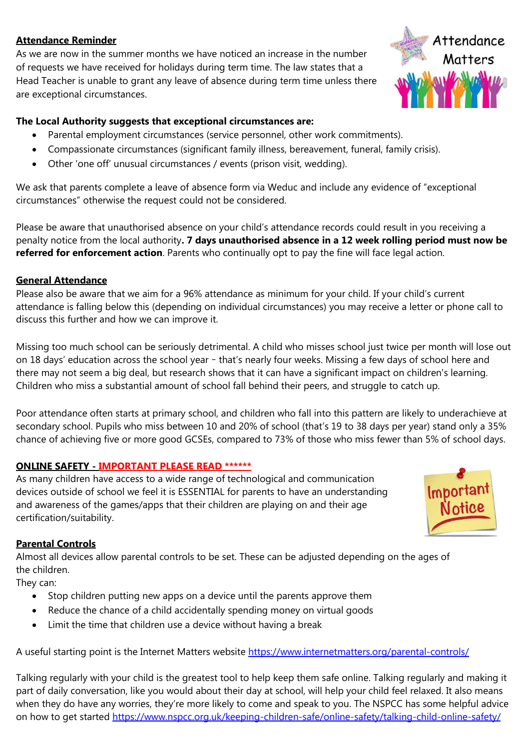#### **Attendance Reminder**

As we are now in the summer months we have noticed an increase in the number of requests we have received for holidays during term time. The law states that a Head Teacher is unable to grant any leave of absence during term time unless there are exceptional circumstances.



#### **The Local Authority suggests that exceptional circumstances are:**

- Parental employment circumstances (service personnel, other work commitments).
- Compassionate circumstances (significant family illness, bereavement, funeral, family crisis).
- Other 'one off' unusual circumstances / events (prison visit, wedding).

We ask that parents complete a leave of absence form via Weduc and include any evidence of "exceptional circumstances" otherwise the request could not be considered.

Please be aware that unauthorised absence on your child's attendance records could result in you receiving a penalty notice from the local authority**. 7 days unauthorised absence in a 12 week rolling period must now be referred for enforcement action**. Parents who continually opt to pay the fine will face legal action.

#### **General Attendance**

Please also be aware that we aim for a 96% attendance as minimum for your child. If your child's current attendance is falling below this (depending on individual circumstances) you may receive a letter or phone call to discuss this further and how we can improve it.

Missing too much school can be seriously detrimental. A child who misses school just twice per month will lose out on 18 days' education across the school year – that's nearly four weeks. Missing a few days of school here and there may not seem a big deal, but research shows that it can have a significant impact on children's learning. Children who miss a substantial amount of school fall behind their peers, and struggle to catch up.

Poor attendance often starts at primary school, and children who fall into this pattern are likely to underachieve at secondary school. Pupils who miss between 10 and 20% of school (that's 19 to 38 days per year) stand only a 35% chance of achieving five or more good GCSEs, compared to 73% of those who miss fewer than 5% of school days.

#### **ONLINE SAFETY - IMPORTANT PLEASE READ \*\*\*\*\*\***

As many children have access to a wide range of technological and communication devices outside of school we feel it is ESSENTIAL for parents to have an understanding and awareness of the games/apps that their children are playing on and their age certification/suitability.



#### **Parental Controls**

Almost all devices allow parental controls to be set. These can be adjusted depending on the ages of the children.

They can:

- Stop children putting new apps on a device until the parents approve them
- Reduce the chance of a child accidentally spending money on virtual goods
- Limit the time that children use a device without having a break

A useful starting point is the Internet Matters website<https://www.internetmatters.org/parental-controls/>

Talking regularly with your child is the greatest tool to help keep them safe online. Talking regularly and making it part of daily conversation, like you would about their day at school, will help your child feel relaxed. It also means when they do have any worries, they're more likely to come and speak to you. The NSPCC has some helpful advice on how to get started<https://www.nspcc.org.uk/keeping-children-safe/online-safety/talking-child-online-safety/>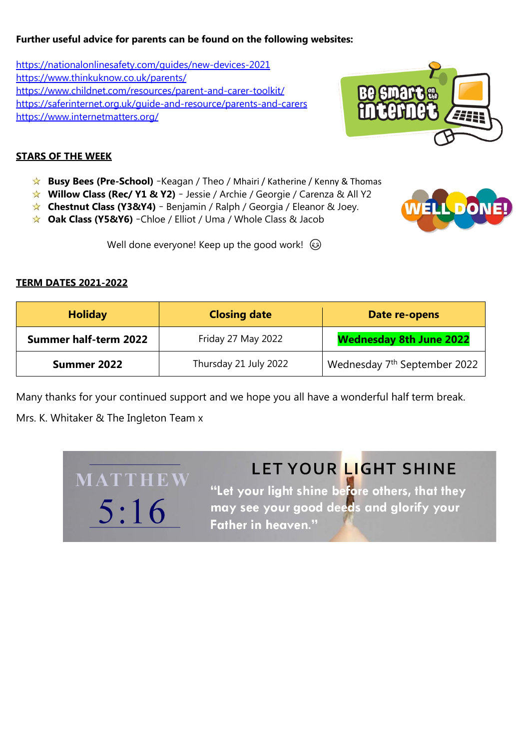#### **Further useful advice for parents can be found on the following websites:**

<https://nationalonlinesafety.com/guides/new-devices-2021> <https://www.thinkuknow.co.uk/parents/> <https://www.childnet.com/resources/parent-and-carer-toolkit/> <https://saferinternet.org.uk/guide-and-resource/parents-and-carers> <https://www.internetmatters.org/>



**WELL DONE** 

#### **STARS OF THE WEEK**

- **★ Busy Bees (Pre-School)** -Keagan / Theo / Mhairi / Katherine / Kenny & Thomas
- **Willow Class (Rec/ Y1 & Y2)** Jessie / Archie / Georgie / Carenza & All Y2
- **Chestnut Class (Y3&Y4)** Benjamin / Ralph / Georgia / Eleanor & Joey.
- **Oak Class (Y5&Y6)** –Chloe / Elliot / Uma / Whole Class & Jacob

Well done everyone! Keep up the good work!  $\odot$ 

#### **TERM DATES 2021-2022**

| <b>Holiday</b>               | <b>Closing date</b>   | Date re-opens                            |
|------------------------------|-----------------------|------------------------------------------|
| <b>Summer half-term 2022</b> | Friday 27 May 2022    | <b>Wednesday 8th June 2022</b>           |
| Summer 2022                  | Thursday 21 July 2022 | Wednesday 7 <sup>th</sup> September 2022 |

Many thanks for your continued support and we hope you all have a wonderful half term break.

Mrs. K. Whitaker & The Ingleton Team x

MATTHEW

 $5:16$ 

## LET YOUR LIGHT SHINE

"Let your light shine before others, that they may see your good deeds and glorify your **Father in heaven."**